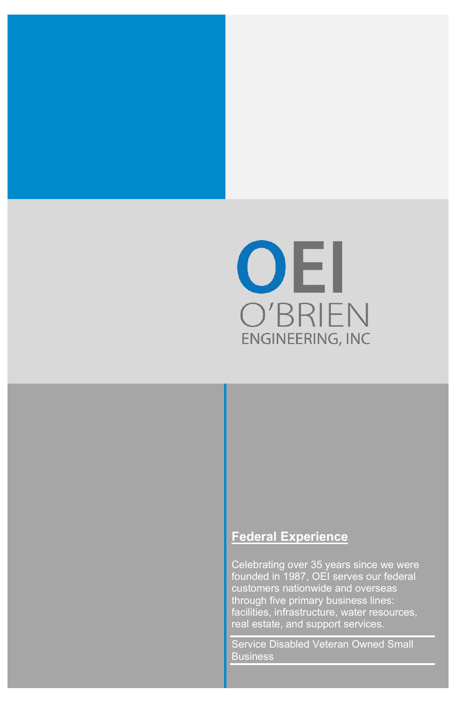

#### **Federal Experience**

Celebrating over 35 years since we were founded in 1987, OEI serves our federal through five primary business lines: facilities, infrastructure, water resources, real estate, and support services.

Service Disabled Veteran Owned Small Business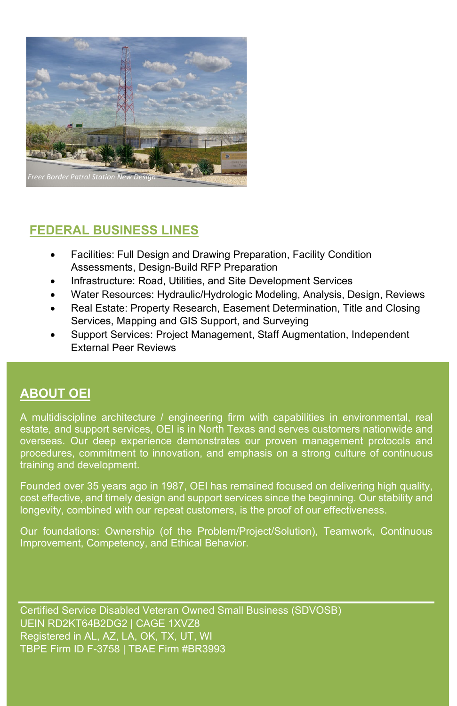

# **FEDERAL BUSINESS LINES**

- Facilities: Full Design and Drawing Preparation, Facility Condition Assessments, Design-Build RFP Preparation
- Infrastructure: Road, Utilities, and Site Development Services
- Water Resources: Hydraulic/Hydrologic Modeling, Analysis, Design, Reviews
- Real Estate: Property Research, Easement Determination, Title and Closing Services, Mapping and GIS Support, and Surveying
- Support Services: Project Management, Staff Augmentation, Independent External Peer Reviews

# **ABOUT OEI**

A multidiscipline architecture / engineering firm with capabilities in environmental, real estate, and support services, OEI is in North Texas and serves customers nationwide and overseas. Our deep experience demonstrates our proven management protocols and procedures, commitment to innovation, and emphasis on a strong culture of continuous training and development.

Founded over 35 years ago in 1987, OEI has remained focused on delivering high quality, cost effective, and timely design and support services since the beginning. Our stability and longevity, combined with our repeat customers, is the proof of our effectiveness.

Our foundations: Ownership (of the Problem/Project/Solution), Teamwork, Continuous Improvement, Competency, and Ethical Behavior.

Certified Service Disabled Veteran Owned Small Business (SDVOSB) UEIN RD2KT64B2DG2 | CAGE 1XVZ8 Registered in AL, AZ, LA, OK, TX, UT, WI TBPE Firm ID F-3758 | TBAE Firm #BR3993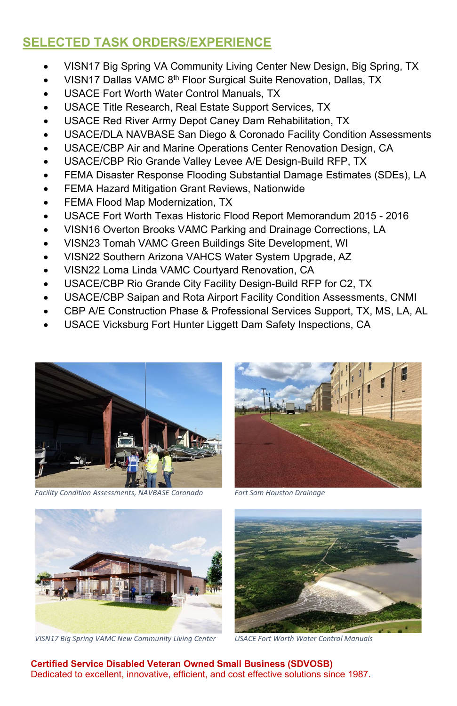# **SELECTED TASK ORDERS/EXPERIENCE**

- VISN17 Big Spring VA Community Living Center New Design, Big Spring, TX
- VISN17 Dallas VAMC 8<sup>th</sup> Floor Surgical Suite Renovation, Dallas, TX
- USACE Fort Worth Water Control Manuals, TX
- USACE Title Research, Real Estate Support Services, TX
- USACE Red River Army Depot Caney Dam Rehabilitation, TX
- USACE/DLA NAVBASE San Diego & Coronado Facility Condition Assessments
- USACE/CBP Air and Marine Operations Center Renovation Design, CA
- USACE/CBP Rio Grande Valley Levee A/E Design-Build RFP, TX
- FEMA Disaster Response Flooding Substantial Damage Estimates (SDEs), LA
- FEMA Hazard Mitigation Grant Reviews, Nationwide
- FEMA Flood Map Modernization, TX
- USACE Fort Worth Texas Historic Flood Report Memorandum 2015 2016
- VISN16 Overton Brooks VAMC Parking and Drainage Corrections, LA
- VISN23 Tomah VAMC Green Buildings Site Development, WI
- VISN22 Southern Arizona VAHCS Water System Upgrade, AZ
- VISN22 Loma Linda VAMC Courtyard Renovation, CA
- USACE/CBP Rio Grande City Facility Design-Build RFP for C2, TX
- USACE/CBP Saipan and Rota Airport Facility Condition Assessments, CNMI
- CBP A/E Construction Phase & Professional Services Support, TX, MS, LA, AL
- USACE Vicksburg Fort Hunter Liggett Dam Safety Inspections, CA



 *Facility Condition Assessments, NAVBASE Coronado Fort Sam Houston Drainage*





 *VISN17 Big Spring VAMC New Community Living Center USACE Fort Worth Water Control Manuals*



 **Certified Service Disabled Veteran Owned Small Business (SDVOSB)** Dedicated to excellent, innovative, efficient, and cost effective solutions since 1987.